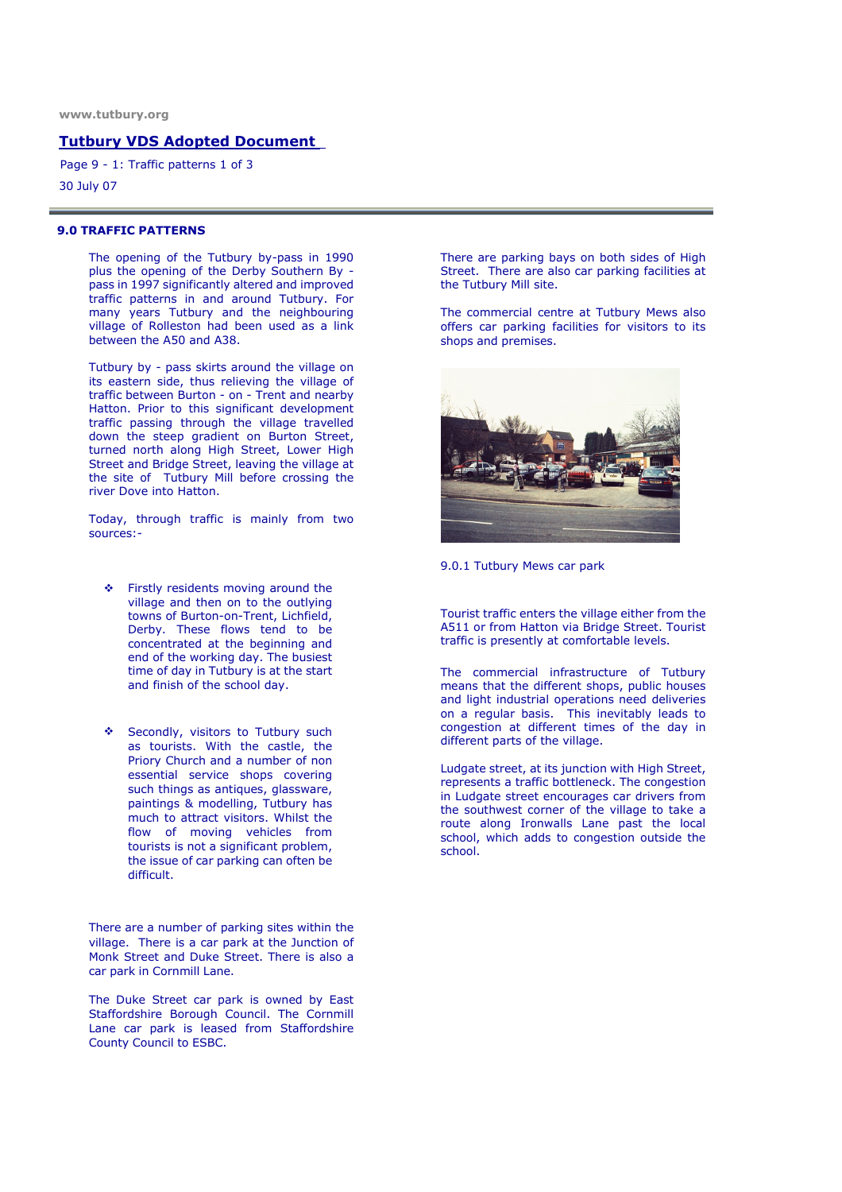### Tutbury VDS Adopted Document

30 July 07 Page 9 - 1: Traffic patterns 1 of 3

#### 9.0 TRAFFIC PATTERNS

The opening of the Tutbury by-pass in 1990 plus the opening of the Derby Southern By pass in 1997 significantly altered and improved traffic patterns in and around Tutbury. For many years Tutbury and the neighbouring village of Rolleston had been used as a link between the A50 and A38.

Tutbury by - pass skirts around the village on its eastern side, thus relieving the village of traffic between Burton - on - Trent and nearby Hatton. Prior to this significant development traffic passing through the village travelled down the steep gradient on Burton Street, turned north along High Street, Lower High Street and Bridge Street, leaving the village at the site of Tutbury Mill before crossing the river Dove into Hatton.

Today, through traffic is mainly from two sources:-

- Firstly residents moving around the village and then on to the outlying towns of Burton-on-Trent, Lichfield, Derby. These flows tend to be concentrated at the beginning and end of the working day. The busiest time of day in Tutbury is at the start and finish of the school day.
- Secondly, visitors to Tutbury such as tourists. With the castle, the Priory Church and a number of non essential service shops covering such things as antiques, glassware, paintings & modelling, Tutbury has much to attract visitors. Whilst the flow of moving vehicles from tourists is not a significant problem, the issue of car parking can often be difficult.

There are a number of parking sites within the village. There is a car park at the Junction of Monk Street and Duke Street. There is also a car park in Cornmill Lane.

The Duke Street car park is owned by East Staffordshire Borough Council. The Cornmill Lane car park is leased from Staffordshire County Council to ESBC.

There are parking bays on both sides of High Street. There are also car parking facilities at the Tutbury Mill site.

The commercial centre at Tutbury Mews also offers car parking facilities for visitors to its shops and premises.



9.0.1 Tutbury Mews car park

Tourist traffic enters the village either from the A511 or from Hatton via Bridge Street. Tourist traffic is presently at comfortable levels.

The commercial infrastructure of Tutbury means that the different shops, public houses and light industrial operations need deliveries on a regular basis. This inevitably leads to congestion at different times of the day in different parts of the village.

Ludgate street, at its junction with High Street, represents a traffic bottleneck. The congestion in Ludgate street encourages car drivers from the southwest corner of the village to take a route along Ironwalls Lane past the local school, which adds to congestion outside the school.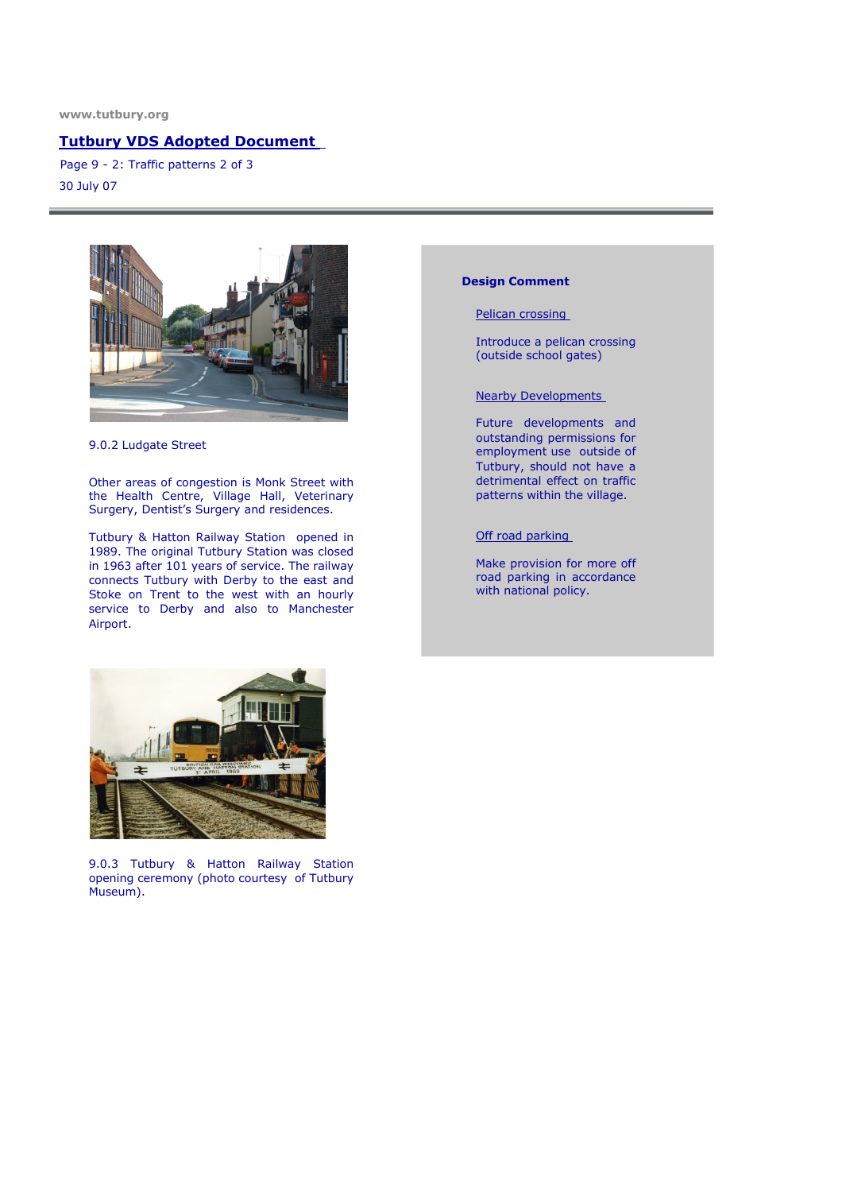www.tutbury.org

## Tutbury VDS Adopted Document

30 July 07 Page 9 - 2: Traffic patterns 2 of 3



9.0.2 Ludgate Street

Other areas of congestion is Monk Street with the Health Centre, Village Hall, Veterinary Surgery, Dentist's Surgery and residences.

Tutbury & Hatton Railway Station opened in 1989. The original Tutbury Station was closed in 1963 after 101 years of service. The railway connects Tutbury with Derby to the east and Stoke on Trent to the west with an hourly service to Derby and also to Manchester Airport.

### Design Comment

Pelican crossing

Introduce a pelican crossing (outside school gates)

Nearby Developments

Future developments and outstanding permissions for employment use outside of Tutbury, should not have a detrimental effect on traffic patterns within the village.

Off road parking

Make provision for more off road parking in accordance with national policy.



9.0.3 Tutbury & Hatton Railway Station opening ceremony (photo courtesy of Tutbury Museum).